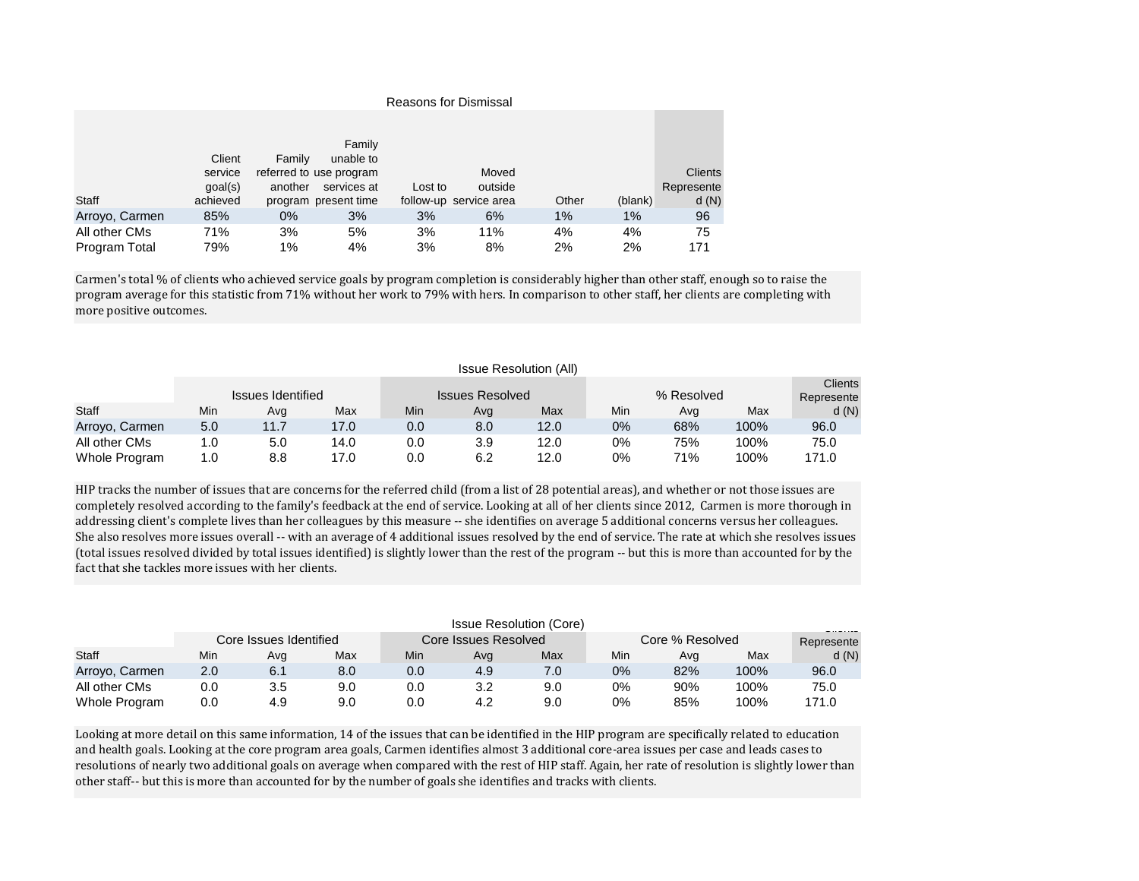|                | <b>Reasons for Dismissal</b> |         |                                        |         |                        |       |         |                              |  |  |  |
|----------------|------------------------------|---------|----------------------------------------|---------|------------------------|-------|---------|------------------------------|--|--|--|
|                |                              |         |                                        |         |                        |       |         |                              |  |  |  |
|                | Client                       | Family  | Family<br>unable to                    |         |                        |       |         |                              |  |  |  |
|                | service<br>goal(s)           | another | referred to use program<br>services at | Lost to | Moved<br>outside       |       |         | <b>Clients</b><br>Represente |  |  |  |
| Staff          | achieved                     |         | program present time                   |         | follow-up service area | Other | (blank) | d(N)                         |  |  |  |
| Arroyo, Carmen | 85%                          | $0\%$   | 3%                                     | 3%      | 6%                     | $1\%$ | 1%      | 96                           |  |  |  |
| All other CMs  | 71%                          | 3%      | 5%                                     | 3%      | 11%                    | 4%    | 4%      | 75                           |  |  |  |
| Program Total  | 79%                          | 1%      | 4%                                     | 3%      | 8%                     | 2%    | 2%      | 171                          |  |  |  |

Carmen's total % of clients who achieved service goals by program completion is considerably higher than other staff, enough so to raise the program average for this statistic from 71% without her work to 79% with hers. In comparison to other staff, her clients are completing with more positive outcomes.

|                | <b>Issue Resolution (All)</b> |      |      |     |                        |      |            |     |      |                |
|----------------|-------------------------------|------|------|-----|------------------------|------|------------|-----|------|----------------|
|                |                               |      |      |     |                        |      |            |     |      | <b>Clients</b> |
|                | Issues Identified             |      |      |     | <b>Issues Resolved</b> |      | % Resolved |     |      | Represente     |
| <b>Staff</b>   | Min                           | Avq  | Max  | Min | Avg                    | Max  | Min        | Avq | Max  | d(N)           |
| Arroyo, Carmen | 5.0                           | 11.7 | 17.0 | 0.0 | 8.0                    | 12.0 | $0\%$      | 68% | 100% | 96.0           |
| All other CMs  | 1.0                           | 5.0  | 14.0 | 0.0 | 3.9                    | 12.0 | 0%         | 75% | 100% | 75.0           |
| Whole Program  | 1.0                           | 8.8  | 17.0 | 0.0 | 6.2                    | 12.0 | 0%         | 71% | 100% | 171.0          |

HIP tracks the number of issues that are concerns for the referred child (from a list of 28 potential areas), and whether or not those issues are completely resolved according to the family's feedback at the end of service. Looking at all of her clients since 2012, Carmen is more thorough in addressing client's complete lives than her colleagues by this measure -- she identifies on average 5 additional concerns versus her colleagues. She also resolves more issues overall -- with an average of 4 additional issues resolved by the end of service. The rate at which she resolves issues (total issues resolved divided by total issues identified) is slightly lower than the rest of the program -- but this is more than accounted for by the fact that she tackles more issues with her clients.

|                | <b>Issue Resolution (Core)</b><br>- |     |     |     |                      |     |                 |     |      |            |
|----------------|-------------------------------------|-----|-----|-----|----------------------|-----|-----------------|-----|------|------------|
|                | Core Issues Identified              |     |     |     | Core Issues Resolved |     | Core % Resolved |     |      | Represente |
| Staff          | Min                                 | Avg | Max | Min | Ava                  | Max | Min             | Avq | Max  | d(N)       |
| Arroyo, Carmen | 2.0                                 | 6.1 | 8.0 | 0.0 | 4.9                  | 7.0 | $0\%$           | 82% | 100% | 96.0       |
| All other CMs  | 0.0                                 | 3.5 | 9.0 | 0.0 | 3.2                  | 9.0 | 0%              | 90% | 100% | 75.0       |
| Whole Program  | 0.0                                 | 4.9 | 9.0 | 0.0 | 4.2                  | 9.0 | 0%              | 85% | 100% | 171.0      |

Looking at more detail on this same information, 14 of the issues that can be identified in the HIP program are specifically related to education and health goals. Looking at the core program area goals, Carmen identifies almost 3 additional core-area issues per case and leads cases to resolutions of nearly two additional goals on average when compared with the rest of HIP staff. Again, her rate of resolution is slightly lower than other staff-- but this is more than accounted for by the number of goals she identifies and tracks with clients.